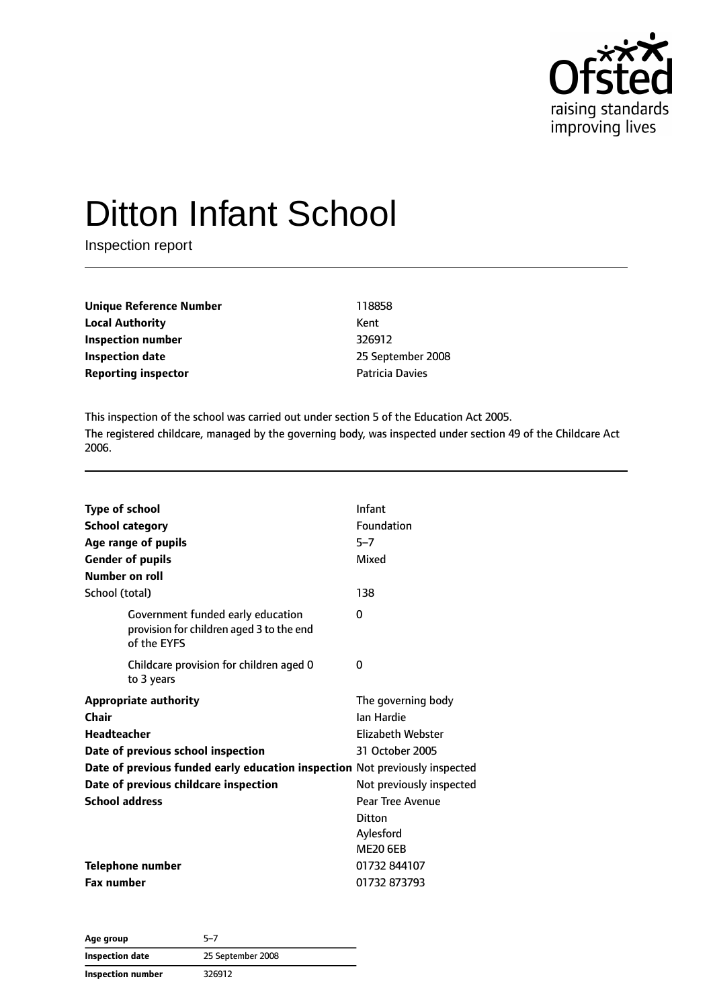

# Ditton Infant School

Inspection report

| 118858                 |
|------------------------|
| Kent                   |
| 326912                 |
| 25 September 2008      |
| <b>Patricia Davies</b> |
|                        |

This inspection of the school was carried out under section 5 of the Education Act 2005. The registered childcare, managed by the governing body, was inspected under section 49 of the Childcare Act 2006.

| <b>Type of school</b><br><b>School category</b><br>Age range of pupils<br><b>Gender of pupils</b><br>Number on roll | Infant<br>Foundation<br>$5 - 7$<br>Mixed                                 |
|---------------------------------------------------------------------------------------------------------------------|--------------------------------------------------------------------------|
| School (total)                                                                                                      | 138                                                                      |
| Government funded early education<br>provision for children aged 3 to the end<br>of the EYFS                        | 0                                                                        |
| Childcare provision for children aged 0<br>to 3 years                                                               | 0                                                                        |
| <b>Appropriate authority</b><br>Chair<br><b>Headteacher</b>                                                         | The governing body<br><b>Jan Hardie</b><br>Elizabeth Webster             |
| Date of previous school inspection                                                                                  | 31 October 2005                                                          |
| Date of previous funded early education inspection Not previously inspected                                         |                                                                          |
| Date of previous childcare inspection                                                                               | Not previously inspected                                                 |
| <b>School address</b>                                                                                               | <b>Pear Tree Avenue</b><br><b>Ditton</b><br>Aylesford<br><b>ME20 6EB</b> |
| <b>Telephone number</b>                                                                                             | 01732 844107                                                             |
| <b>Fax number</b>                                                                                                   | 01732 873793                                                             |

**Age group** 5–7 **Inspection date** 25 September 2008 **Inspection number** 326912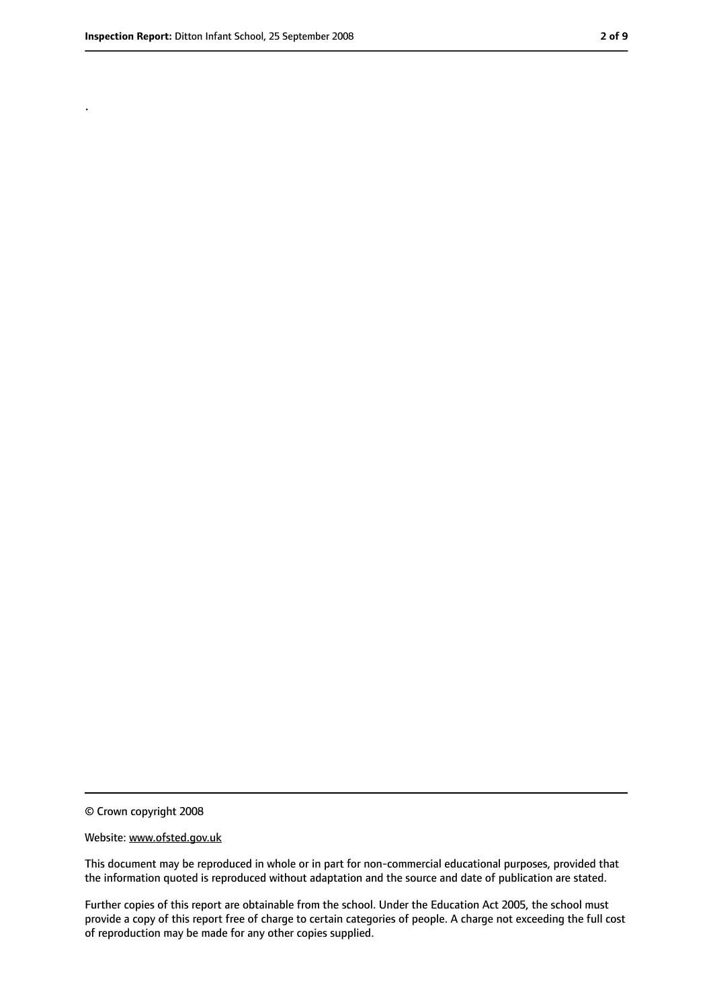.

<sup>©</sup> Crown copyright 2008

Website: www.ofsted.gov.uk

This document may be reproduced in whole or in part for non-commercial educational purposes, provided that the information quoted is reproduced without adaptation and the source and date of publication are stated.

Further copies of this report are obtainable from the school. Under the Education Act 2005, the school must provide a copy of this report free of charge to certain categories of people. A charge not exceeding the full cost of reproduction may be made for any other copies supplied.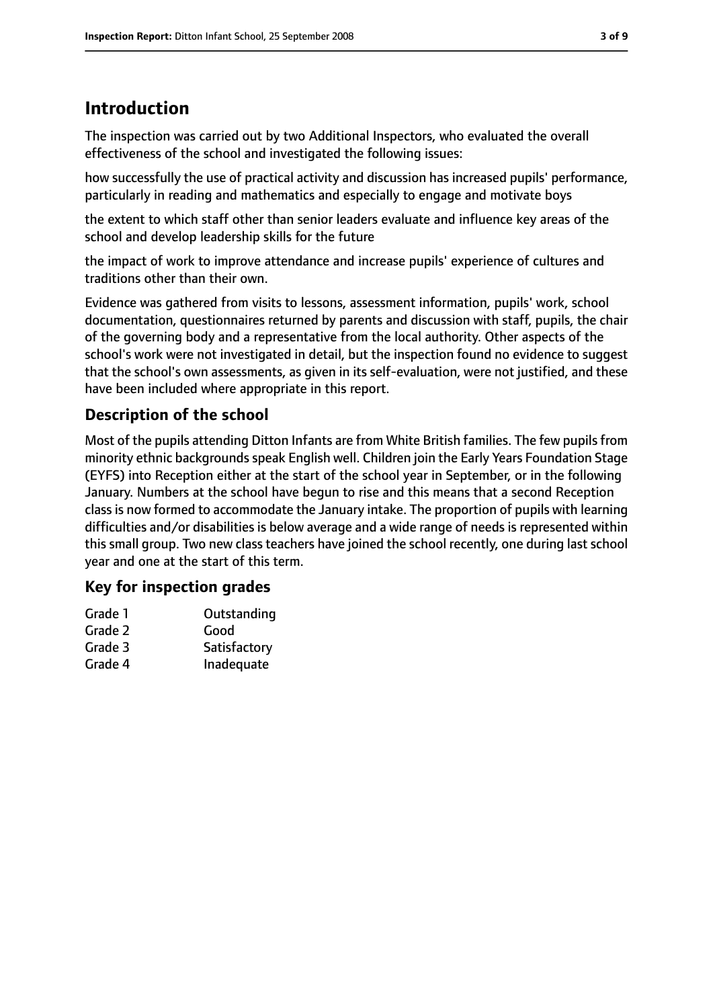## **Introduction**

The inspection was carried out by two Additional Inspectors, who evaluated the overall effectiveness of the school and investigated the following issues:

how successfully the use of practical activity and discussion has increased pupils' performance, particularly in reading and mathematics and especially to engage and motivate boys

the extent to which staff other than senior leaders evaluate and influence key areas of the school and develop leadership skills for the future

the impact of work to improve attendance and increase pupils' experience of cultures and traditions other than their own.

Evidence was gathered from visits to lessons, assessment information, pupils' work, school documentation, questionnaires returned by parents and discussion with staff, pupils, the chair of the governing body and a representative from the local authority. Other aspects of the school's work were not investigated in detail, but the inspection found no evidence to suggest that the school's own assessments, as given in its self-evaluation, were not justified, and these have been included where appropriate in this report.

## **Description of the school**

Most of the pupils attending Ditton Infants are from White British families. The few pupils from minority ethnic backgrounds speak English well. Children join the Early Years Foundation Stage (EYFS) into Reception either at the start of the school year in September, or in the following January. Numbers at the school have begun to rise and this means that a second Reception class is now formed to accommodate the January intake. The proportion of pupils with learning difficulties and/or disabilities is below average and a wide range of needs is represented within this small group. Two new class teachers have joined the school recently, one during last school year and one at the start of this term.

## **Key for inspection grades**

| Grade 1 | Outstanding  |
|---------|--------------|
| Grade 2 | Good         |
| Grade 3 | Satisfactory |
| Grade 4 | Inadequate   |
|         |              |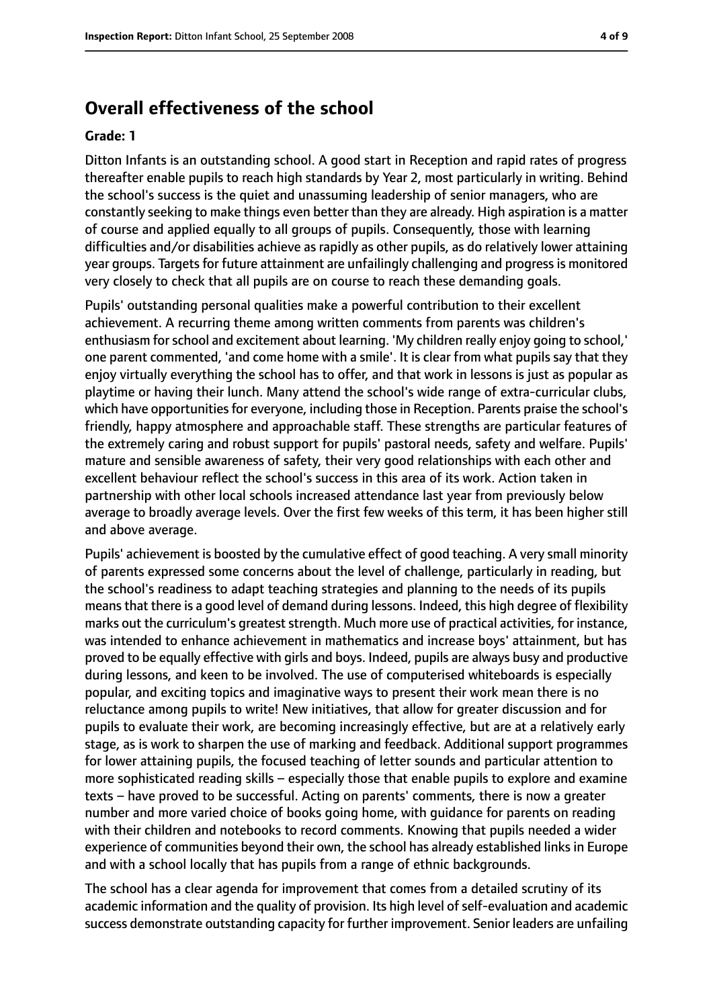## **Overall effectiveness of the school**

#### **Grade: 1**

Ditton Infants is an outstanding school. A good start in Reception and rapid rates of progress thereafter enable pupils to reach high standards by Year 2, most particularly in writing. Behind the school's success is the quiet and unassuming leadership of senior managers, who are constantly seeking to make things even better than they are already. High aspiration is a matter of course and applied equally to all groups of pupils. Consequently, those with learning difficulties and/or disabilities achieve as rapidly as other pupils, as do relatively lower attaining year groups. Targets for future attainment are unfailingly challenging and progress is monitored very closely to check that all pupils are on course to reach these demanding goals.

Pupils' outstanding personal qualities make a powerful contribution to their excellent achievement. A recurring theme among written comments from parents was children's enthusiasm for school and excitement about learning. 'My children really enjoy going to school,' one parent commented, 'and come home with a smile'. It is clear from what pupils say that they enjoy virtually everything the school has to offer, and that work in lessons is just as popular as playtime or having their lunch. Many attend the school's wide range of extra-curricular clubs, which have opportunities for everyone, including those in Reception. Parents praise the school's friendly, happy atmosphere and approachable staff. These strengths are particular features of the extremely caring and robust support for pupils' pastoral needs, safety and welfare. Pupils' mature and sensible awareness of safety, their very good relationships with each other and excellent behaviour reflect the school's success in this area of its work. Action taken in partnership with other local schools increased attendance last year from previously below average to broadly average levels. Over the first few weeks of this term, it has been higher still and above average.

Pupils' achievement is boosted by the cumulative effect of good teaching. A very small minority of parents expressed some concerns about the level of challenge, particularly in reading, but the school's readiness to adapt teaching strategies and planning to the needs of its pupils meansthat there is a good level of demand during lessons. Indeed, this high degree of flexibility marks out the curriculum's greatest strength. Much more use of practical activities, for instance, was intended to enhance achievement in mathematics and increase boys' attainment, but has proved to be equally effective with girls and boys. Indeed, pupils are always busy and productive during lessons, and keen to be involved. The use of computerised whiteboards is especially popular, and exciting topics and imaginative ways to present their work mean there is no reluctance among pupils to write! New initiatives, that allow for greater discussion and for pupils to evaluate their work, are becoming increasingly effective, but are at a relatively early stage, as is work to sharpen the use of marking and feedback. Additional support programmes for lower attaining pupils, the focused teaching of letter sounds and particular attention to more sophisticated reading skills – especially those that enable pupils to explore and examine texts – have proved to be successful. Acting on parents' comments, there is now a greater number and more varied choice of books going home, with guidance for parents on reading with their children and notebooks to record comments. Knowing that pupils needed a wider experience of communities beyond their own, the school has already established links in Europe and with a school locally that has pupils from a range of ethnic backgrounds.

The school has a clear agenda for improvement that comes from a detailed scrutiny of its academic information and the quality of provision. Its high level of self-evaluation and academic success demonstrate outstanding capacity for further improvement. Senior leaders are unfailing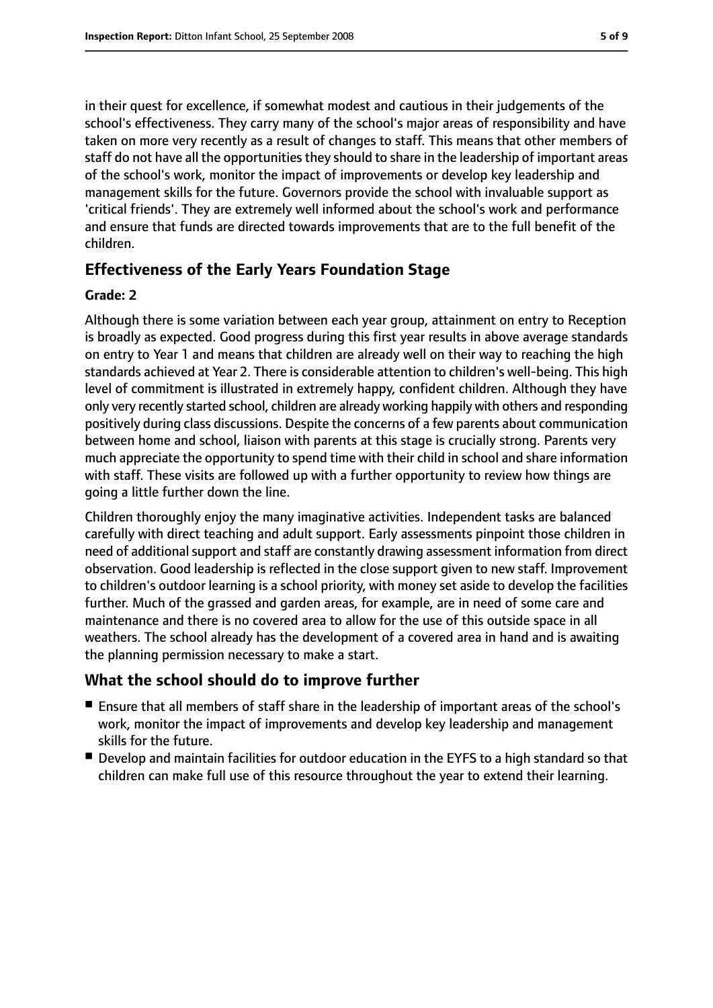in their quest for excellence, if somewhat modest and cautious in their judgements of the school's effectiveness. They carry many of the school's major areas of responsibility and have taken on more very recently as a result of changes to staff. This means that other members of staff do not have all the opportunities they should to share in the leadership of important areas of the school's work, monitor the impact of improvements or develop key leadership and management skills for the future. Governors provide the school with invaluable support as 'critical friends'. They are extremely well informed about the school's work and performance and ensure that funds are directed towards improvements that are to the full benefit of the children.

### **Effectiveness of the Early Years Foundation Stage**

#### **Grade: 2**

Although there is some variation between each year group, attainment on entry to Reception is broadly as expected. Good progress during this first year results in above average standards on entry to Year 1 and means that children are already well on their way to reaching the high standards achieved at Year 2. There is considerable attention to children's well-being. This high level of commitment is illustrated in extremely happy, confident children. Although they have only very recently started school, children are already working happily with others and responding positively during class discussions. Despite the concerns of a few parents about communication between home and school, liaison with parents at this stage is crucially strong. Parents very much appreciate the opportunity to spend time with their child in school and share information with staff. These visits are followed up with a further opportunity to review how things are going a little further down the line.

Children thoroughly enjoy the many imaginative activities. Independent tasks are balanced carefully with direct teaching and adult support. Early assessments pinpoint those children in need of additional support and staff are constantly drawing assessment information from direct observation. Good leadership is reflected in the close support given to new staff. Improvement to children's outdoor learning is a school priority, with money set aside to develop the facilities further. Much of the grassed and garden areas, for example, are in need of some care and maintenance and there is no covered area to allow for the use of this outside space in all weathers. The school already has the development of a covered area in hand and is awaiting the planning permission necessary to make a start.

#### **What the school should do to improve further**

- Ensure that all members of staff share in the leadership of important areas of the school's work, monitor the impact of improvements and develop key leadership and management skills for the future.
- Develop and maintain facilities for outdoor education in the EYFS to a high standard so that children can make full use of this resource throughout the year to extend their learning.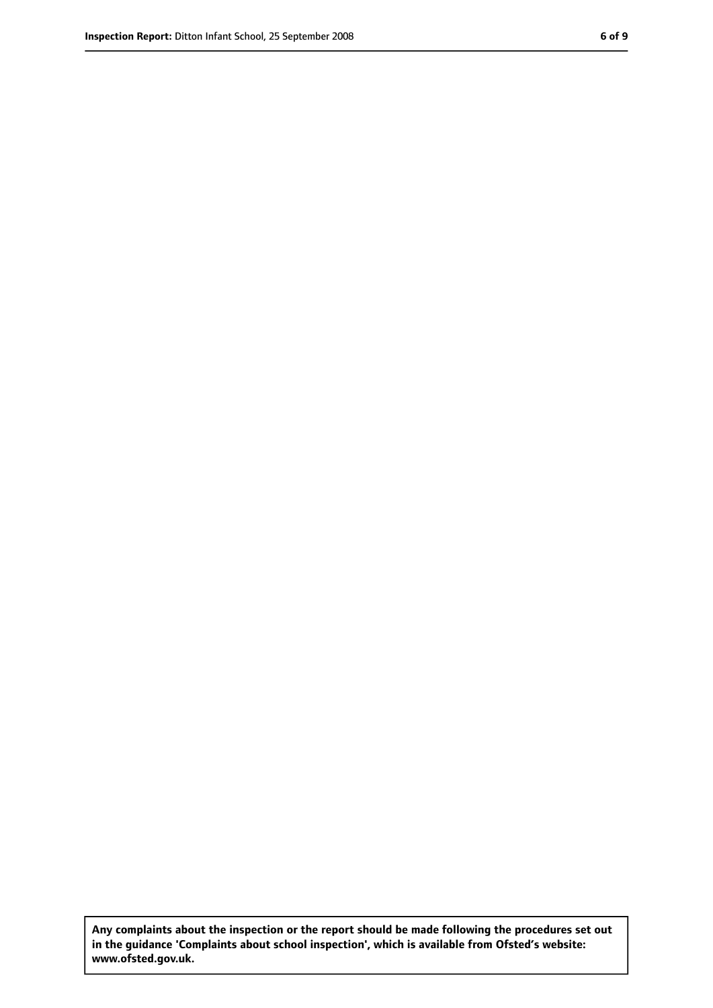**Any complaints about the inspection or the report should be made following the procedures set out in the guidance 'Complaints about school inspection', which is available from Ofsted's website: www.ofsted.gov.uk.**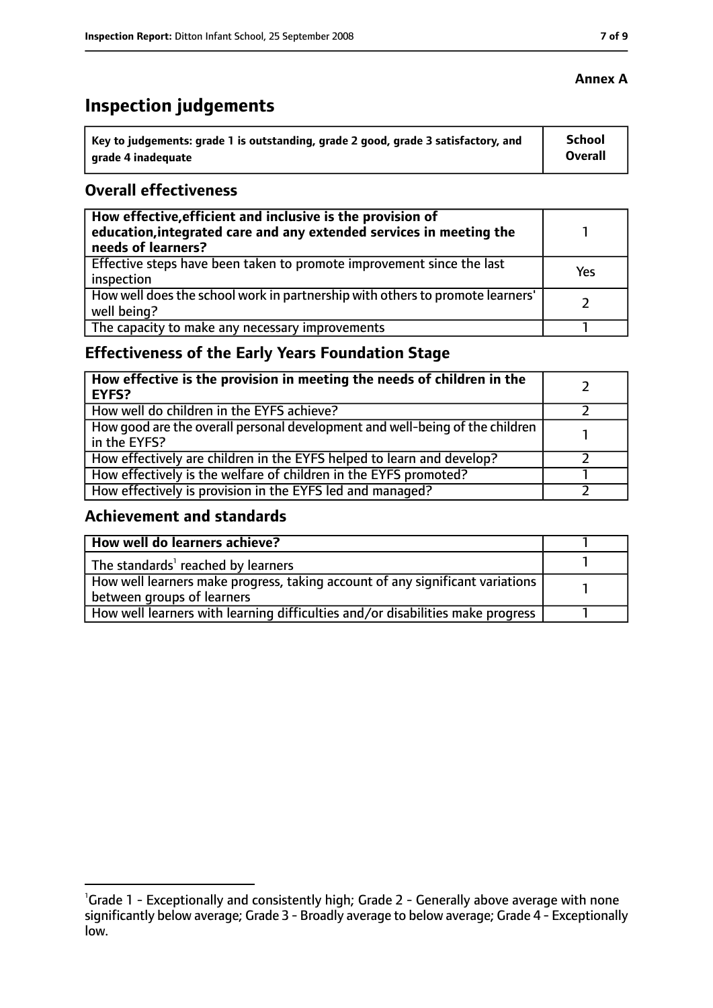# **Inspection judgements**

| ˈ Key to judgements: grade 1 is outstanding, grade 2 good, grade 3 satisfactory, and | <b>School</b>  |
|--------------------------------------------------------------------------------------|----------------|
| arade 4 inadequate                                                                   | <b>Overall</b> |

### **Overall effectiveness**

| How effective, efficient and inclusive is the provision of<br>education, integrated care and any extended services in meeting the<br>needs of learners? |     |
|---------------------------------------------------------------------------------------------------------------------------------------------------------|-----|
| Effective steps have been taken to promote improvement since the last<br>inspection                                                                     | Yes |
| How well does the school work in partnership with others to promote learners'<br>well being?                                                            |     |
| The capacity to make any necessary improvements                                                                                                         |     |

## **Effectiveness of the Early Years Foundation Stage**

| How effective is the provision in meeting the needs of children in the<br>EYFS?                |  |
|------------------------------------------------------------------------------------------------|--|
| How well do children in the EYFS achieve?                                                      |  |
| How good are the overall personal development and well-being of the children<br>I in the EYFS? |  |
| How effectively are children in the EYFS helped to learn and develop?                          |  |
| How effectively is the welfare of children in the EYFS promoted?                               |  |
| How effectively is provision in the EYFS led and managed?                                      |  |

#### **Achievement and standards**

| How well do learners achieve?                                                               |  |
|---------------------------------------------------------------------------------------------|--|
| $\vert$ The standards <sup>1</sup> reached by learners                                      |  |
| $\mid$ How well learners make progress, taking account of any significant variations $\mid$ |  |
| between groups of learners                                                                  |  |
| How well learners with learning difficulties and/or disabilities make progress              |  |

### **Annex A**

<sup>&</sup>lt;sup>1</sup>Grade 1 - Exceptionally and consistently high; Grade 2 - Generally above average with none significantly below average; Grade 3 - Broadly average to below average; Grade 4 - Exceptionally low.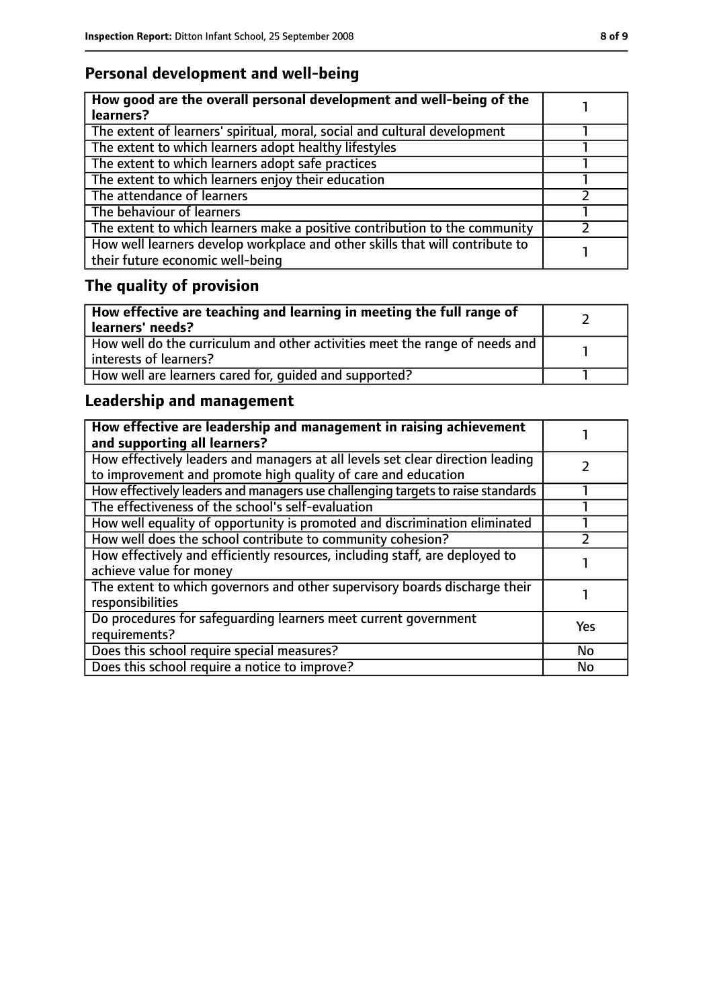## **Personal development and well-being**

| How good are the overall personal development and well-being of the<br>learners?                                 |  |
|------------------------------------------------------------------------------------------------------------------|--|
| The extent of learners' spiritual, moral, social and cultural development                                        |  |
| The extent to which learners adopt healthy lifestyles                                                            |  |
| The extent to which learners adopt safe practices                                                                |  |
| The extent to which learners enjoy their education                                                               |  |
| The attendance of learners                                                                                       |  |
| The behaviour of learners                                                                                        |  |
| The extent to which learners make a positive contribution to the community                                       |  |
| How well learners develop workplace and other skills that will contribute to<br>their future economic well-being |  |

# **The quality of provision**

| How effective are teaching and learning in meeting the full range of<br>learners' needs?              |  |
|-------------------------------------------------------------------------------------------------------|--|
| How well do the curriculum and other activities meet the range of needs and<br>interests of learners? |  |
| How well are learners cared for, quided and supported?                                                |  |

## **Leadership and management**

| How effective are leadership and management in raising achievement<br>and supporting all learners?                                              |           |
|-------------------------------------------------------------------------------------------------------------------------------------------------|-----------|
| How effectively leaders and managers at all levels set clear direction leading<br>to improvement and promote high quality of care and education |           |
| How effectively leaders and managers use challenging targets to raise standards                                                                 |           |
| The effectiveness of the school's self-evaluation                                                                                               |           |
| How well equality of opportunity is promoted and discrimination eliminated                                                                      |           |
| How well does the school contribute to community cohesion?                                                                                      |           |
| How effectively and efficiently resources, including staff, are deployed to<br>achieve value for money                                          |           |
| The extent to which governors and other supervisory boards discharge their<br>responsibilities                                                  |           |
| Do procedures for safequarding learners meet current government<br>requirements?                                                                | Yes       |
| Does this school require special measures?                                                                                                      | <b>No</b> |
| Does this school require a notice to improve?                                                                                                   | No        |